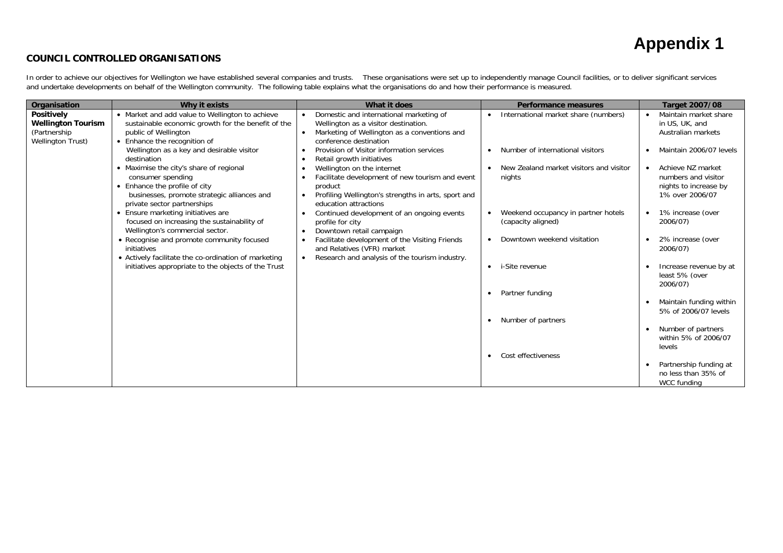#### **COUNCIL CONTROLLED ORGANISATIONS**

In order to achieve our objectives for Wellington we have established several companies and trusts. These organisations were set up to independently manage Council facilities, or to deliver significant services and undertake developments on behalf of the Wellington community. The following table explains what the organisations do and how their performance is measured.

| Organisation                                                                                | Why it exists                                                                                                                                                             | What it does                                                                                                                                                                          | <b>Performance measures</b>                                    | <b>Target 2007/08</b>                                                                |
|---------------------------------------------------------------------------------------------|---------------------------------------------------------------------------------------------------------------------------------------------------------------------------|---------------------------------------------------------------------------------------------------------------------------------------------------------------------------------------|----------------------------------------------------------------|--------------------------------------------------------------------------------------|
| <b>Positively</b><br><b>Wellington Tourism</b><br>(Partnership)<br><b>Wellington Trust)</b> | • Market and add value to Wellington to achieve<br>sustainable economic growth for the benefit of the<br>public of Wellington<br>• Enhance the recognition of             | Domestic and international marketing of<br>Wellington as a visitor destination.<br>Marketing of Wellington as a conventions and<br>conference destination                             | International market share (numbers)                           | Maintain market share<br>in US, UK, and<br>Australian markets                        |
|                                                                                             | Wellington as a key and desirable visitor<br>destination                                                                                                                  | Provision of Visitor information services<br>Retail growth initiatives                                                                                                                | Number of international visitors                               | Maintain 2006/07 levels                                                              |
|                                                                                             | Maximise the city's share of regional<br>consumer spending<br>• Enhance the profile of city<br>businesses, promote strategic alliances and<br>private sector partnerships | Wellington on the internet<br>Facilitate development of new tourism and event<br>product<br>Profiling Wellington's strengths in arts, sport and<br>$\bullet$<br>education attractions | New Zealand market visitors and visitor<br>$\bullet$<br>nights | Achieve NZ market<br>numbers and visitor<br>nights to increase by<br>1% over 2006/07 |
|                                                                                             | Ensure marketing initiatives are<br>focused on increasing the sustainability of<br>Wellington's commercial sector.                                                        | Continued development of an ongoing events<br>profile for city<br>Downtown retail campaign<br>$\bullet$                                                                               | Weekend occupancy in partner hotels<br>(capacity aligned)      | 1% increase (over<br>2006/07)                                                        |
|                                                                                             | • Recognise and promote community focused<br>initiatives<br>• Actively facilitate the co-ordination of marketing                                                          | Facilitate development of the Visiting Friends<br>and Relatives (VFR) market<br>Research and analysis of the tourism industry.<br>$\bullet$                                           | Downtown weekend visitation<br>$\bullet$                       | 2% increase (over<br>2006/07)                                                        |
|                                                                                             | initiatives appropriate to the objects of the Trust                                                                                                                       |                                                                                                                                                                                       | i-Site revenue<br>$\bullet$                                    | Increase revenue by at<br>least 5% (over<br>2006/07)                                 |
|                                                                                             |                                                                                                                                                                           |                                                                                                                                                                                       | Partner funding                                                | Maintain funding within<br>5% of 2006/07 levels                                      |
|                                                                                             |                                                                                                                                                                           |                                                                                                                                                                                       | Number of partners                                             | Number of partners<br>within 5% of 2006/07<br>levels                                 |
|                                                                                             |                                                                                                                                                                           |                                                                                                                                                                                       | Cost effectiveness                                             | Partnership funding at<br>no less than 35% of<br>WCC funding                         |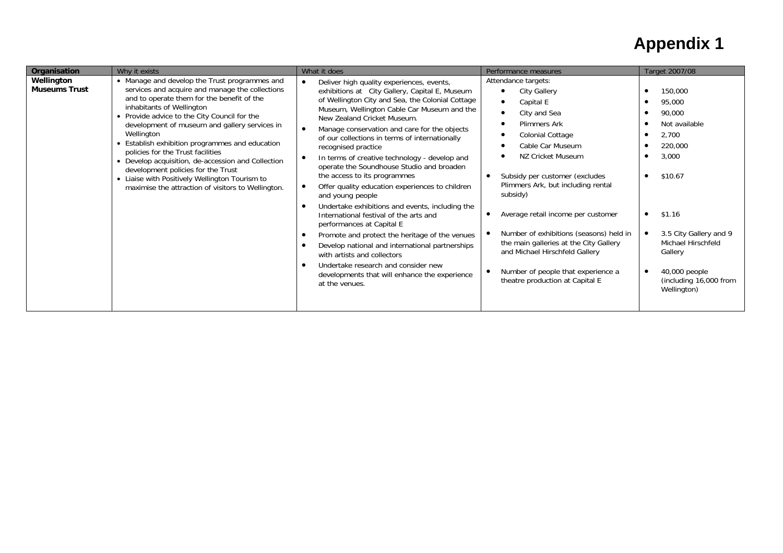| Organisation                       | Why it exists                                                                                                                                                                                                                                                                                                                                                                                                                                                                                                                                                                          | What it does                                                                                                                                                                                                                                                                                                                                                                                                                                                                                                                                                                                                                                                                                                                                                                                                                                                                                                                                                  | Performance measures                                                                                                                                                                                                                                                                                                                                                                                                                                                                                     | Target 2007/08                                                                                                                                                                                                                   |
|------------------------------------|----------------------------------------------------------------------------------------------------------------------------------------------------------------------------------------------------------------------------------------------------------------------------------------------------------------------------------------------------------------------------------------------------------------------------------------------------------------------------------------------------------------------------------------------------------------------------------------|---------------------------------------------------------------------------------------------------------------------------------------------------------------------------------------------------------------------------------------------------------------------------------------------------------------------------------------------------------------------------------------------------------------------------------------------------------------------------------------------------------------------------------------------------------------------------------------------------------------------------------------------------------------------------------------------------------------------------------------------------------------------------------------------------------------------------------------------------------------------------------------------------------------------------------------------------------------|----------------------------------------------------------------------------------------------------------------------------------------------------------------------------------------------------------------------------------------------------------------------------------------------------------------------------------------------------------------------------------------------------------------------------------------------------------------------------------------------------------|----------------------------------------------------------------------------------------------------------------------------------------------------------------------------------------------------------------------------------|
| Wellington<br><b>Museums Trust</b> | • Manage and develop the Trust programmes and<br>services and acquire and manage the collections<br>and to operate them for the benefit of the<br>inhabitants of Wellington<br>• Provide advice to the City Council for the<br>development of museum and gallery services in<br>Wellington<br>• Establish exhibition programmes and education<br>policies for the Trust facilities<br>• Develop acquisition, de-accession and Collection<br>development policies for the Trust<br>• Liaise with Positively Wellington Tourism to<br>maximise the attraction of visitors to Wellington. | Deliver high quality experiences, events,<br>exhibitions at City Gallery, Capital E, Museum<br>of Wellington City and Sea, the Colonial Cottage<br>Museum, Wellington Cable Car Museum and the<br>New Zealand Cricket Museum.<br>Manage conservation and care for the objects<br>$\bullet$<br>of our collections in terms of internationally<br>recognised practice<br>In terms of creative technology - develop and<br>operate the Soundhouse Studio and broaden<br>the access to its programmes<br>Offer quality education experiences to children<br>and young people<br>Undertake exhibitions and events, including the<br>International festival of the arts and<br>performances at Capital E<br>Promote and protect the heritage of the venues<br>$\bullet$<br>Develop national and international partnerships<br>with artists and collectors<br>Undertake research and consider new<br>developments that will enhance the experience<br>at the venues. | Attendance targets:<br>City Gallery<br>Capital E<br>$\bullet$<br>City and Sea<br>$\bullet$<br><b>Plimmers Ark</b><br>Colonial Cottage<br>Cable Car Museum<br>NZ Cricket Museum<br>Subsidy per customer (excludes<br>Plimmers Ark, but including rental<br>subsidy)<br>Average retail income per customer<br>Number of exhibitions (seasons) held in<br>the main galleries at the City Gallery<br>and Michael Hirschfeld Gallery<br>Number of people that experience a<br>theatre production at Capital E | 150,000<br>95,000<br>90,000<br>Not available<br>2,700<br>220,000<br>3,000<br>\$10.67<br>\$1.16<br>$\bullet$<br>3.5 City Gallery and 9<br>Michael Hirschfeld<br>Gallery<br>40,000 people<br>(including 16,000 from<br>Wellington) |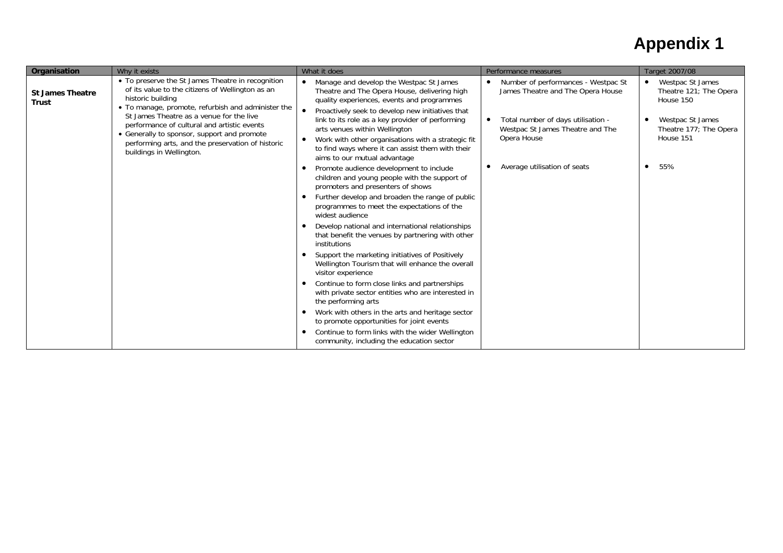| Organisation                            | Why it exists                                                                                                                                                                                                                                                                                                                                                                                               | What it does                                                                                                                                                                                                                                                                                                                                                                                                             | Performance measures                                                                                                                                              | Target 2007/08                                                                                                                  |
|-----------------------------------------|-------------------------------------------------------------------------------------------------------------------------------------------------------------------------------------------------------------------------------------------------------------------------------------------------------------------------------------------------------------------------------------------------------------|--------------------------------------------------------------------------------------------------------------------------------------------------------------------------------------------------------------------------------------------------------------------------------------------------------------------------------------------------------------------------------------------------------------------------|-------------------------------------------------------------------------------------------------------------------------------------------------------------------|---------------------------------------------------------------------------------------------------------------------------------|
| <b>St James Theatre</b><br><b>Trust</b> | • To preserve the St James Theatre in recognition<br>of its value to the citizens of Wellington as an<br>historic building<br>• To manage, promote, refurbish and administer the<br>St James Theatre as a venue for the live<br>performance of cultural and artistic events<br>• Generally to sponsor, support and promote<br>performing arts, and the preservation of historic<br>buildings in Wellington. | Manage and develop the Westpac St James<br>Theatre and The Opera House, delivering high<br>quality experiences, events and programmes<br>Proactively seek to develop new initiatives that<br>link to its role as a key provider of performing<br>arts venues within Wellington<br>Work with other organisations with a strategic fit<br>to find ways where it can assist them with their<br>aims to our mutual advantage | Number of performances - Westpac St<br>James Theatre and The Opera House<br>Total number of days utilisation -<br>Westpac St James Theatre and The<br>Opera House | Westpac St James<br>$\bullet$<br>Theatre 121; The Opera<br>House 150<br>Westpac St James<br>Theatre 177; The Opera<br>House 151 |
|                                         |                                                                                                                                                                                                                                                                                                                                                                                                             | Promote audience development to include<br>children and young people with the support of<br>promoters and presenters of shows                                                                                                                                                                                                                                                                                            | Average utilisation of seats                                                                                                                                      | 55%<br>٠                                                                                                                        |
|                                         |                                                                                                                                                                                                                                                                                                                                                                                                             | Further develop and broaden the range of public<br>programmes to meet the expectations of the<br>widest audience                                                                                                                                                                                                                                                                                                         |                                                                                                                                                                   |                                                                                                                                 |
|                                         |                                                                                                                                                                                                                                                                                                                                                                                                             | Develop national and international relationships<br>that benefit the venues by partnering with other<br>institutions                                                                                                                                                                                                                                                                                                     |                                                                                                                                                                   |                                                                                                                                 |
|                                         |                                                                                                                                                                                                                                                                                                                                                                                                             | Support the marketing initiatives of Positively<br>Wellington Tourism that will enhance the overall<br>visitor experience                                                                                                                                                                                                                                                                                                |                                                                                                                                                                   |                                                                                                                                 |
|                                         |                                                                                                                                                                                                                                                                                                                                                                                                             | Continue to form close links and partnerships<br>with private sector entities who are interested in<br>the performing arts                                                                                                                                                                                                                                                                                               |                                                                                                                                                                   |                                                                                                                                 |
|                                         |                                                                                                                                                                                                                                                                                                                                                                                                             | Work with others in the arts and heritage sector<br>to promote opportunities for joint events<br>Continue to form links with the wider Wellington<br>community, including the education sector                                                                                                                                                                                                                           |                                                                                                                                                                   |                                                                                                                                 |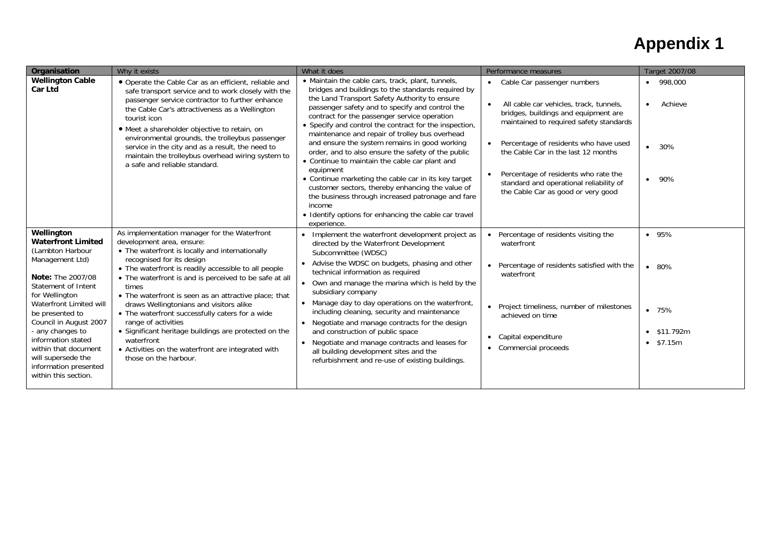| Organisation                                                                                                                                                                                                                                                                                                                                                  | Why it exists                                                                                                                                                                                                                                                                                                                                                                                                                                                                                                                                                                                                            | What it does                                                                                                                                                                                                                                                                                                                                                                                                                                                                                                                                                                                                                                                                                                                                                                                     | Performance measures                                                                                                                                                                                                                                                                                                                                                                                        | Target 2007/08                                                       |
|---------------------------------------------------------------------------------------------------------------------------------------------------------------------------------------------------------------------------------------------------------------------------------------------------------------------------------------------------------------|--------------------------------------------------------------------------------------------------------------------------------------------------------------------------------------------------------------------------------------------------------------------------------------------------------------------------------------------------------------------------------------------------------------------------------------------------------------------------------------------------------------------------------------------------------------------------------------------------------------------------|--------------------------------------------------------------------------------------------------------------------------------------------------------------------------------------------------------------------------------------------------------------------------------------------------------------------------------------------------------------------------------------------------------------------------------------------------------------------------------------------------------------------------------------------------------------------------------------------------------------------------------------------------------------------------------------------------------------------------------------------------------------------------------------------------|-------------------------------------------------------------------------------------------------------------------------------------------------------------------------------------------------------------------------------------------------------------------------------------------------------------------------------------------------------------------------------------------------------------|----------------------------------------------------------------------|
| <b>Wellington Cable</b><br><b>Car Ltd</b>                                                                                                                                                                                                                                                                                                                     | • Operate the Cable Car as an efficient, reliable and<br>safe transport service and to work closely with the<br>passenger service contractor to further enhance<br>the Cable Car's attractiveness as a Wellington<br>tourist icon<br>• Meet a shareholder objective to retain, on<br>environmental grounds, the trolleybus passenger<br>service in the city and as a result, the need to<br>maintain the trolleybus overhead wiring system to<br>a safe and reliable standard.                                                                                                                                           | • Maintain the cable cars, track, plant, tunnels,<br>bridges and buildings to the standards required by<br>the Land Transport Safety Authority to ensure<br>passenger safety and to specify and control the<br>contract for the passenger service operation<br>• Specify and control the contract for the inspection,<br>maintenance and repair of trolley bus overhead<br>and ensure the system remains in good working<br>order, and to also ensure the safety of the public<br>• Continue to maintain the cable car plant and<br>equipment<br>• Continue marketing the cable car in its key target<br>customer sectors, thereby enhancing the value of<br>the business through increased patronage and fare<br>income<br>• Identify options for enhancing the cable car travel<br>experience. | • Cable Car passenger numbers<br>All cable car vehicles, track, tunnels,<br>$\bullet$<br>bridges, buildings and equipment are<br>maintained to required safety standards<br>Percentage of residents who have used<br>$\bullet$<br>the Cable Car in the last 12 months<br>Percentage of residents who rate the<br>$\bullet$<br>standard and operational reliability of<br>the Cable Car as good or very good | $•$ 998,000<br>Achieve<br>$\bullet$<br>$• 30\%$<br>-90%<br>$\bullet$ |
| Wellington<br><b>Waterfront Limited</b><br>(Lambton Harbour<br>Management Ltd)<br>Note: The 2007/08<br>Statement of Intent<br>for Wellington<br>Waterfront Limited will<br>be presented to<br>Council in August 2007<br>- any changes to<br>information stated<br>within that document<br>will supersede the<br>information presented<br>within this section. | As implementation manager for the Waterfront<br>development area, ensure:<br>• The waterfront is locally and internationally<br>recognised for its design<br>• The waterfront is readily accessible to all people<br>• The waterfront is and is perceived to be safe at all<br>times<br>• The waterfront is seen as an attractive place; that<br>draws Wellingtonians and visitors alike<br>• The waterfront successfully caters for a wide<br>range of activities<br>• Significant heritage buildings are protected on the<br>waterfront<br>• Activities on the waterfront are integrated with<br>those on the harbour. | • Implement the waterfront development project as<br>directed by the Waterfront Development<br>Subcommittee (WDSC)<br>Advise the WDSC on budgets, phasing and other<br>technical information as required<br>• Own and manage the marina which is held by the<br>subsidiary company<br>• Manage day to day operations on the waterfront,<br>including cleaning, security and maintenance<br>Negotiate and manage contracts for the design<br>and construction of public space<br>Negotiate and manage contracts and leases for<br>all building development sites and the<br>refurbishment and re-use of existing buildings.                                                                                                                                                                       | • Percentage of residents visiting the<br>waterfront<br>• Percentage of residents satisfied with the<br>waterfront<br>• Project timeliness, number of milestones<br>achieved on time<br>• Capital expenditure<br>• Commercial proceeds                                                                                                                                                                      | • 95%<br>• 80%<br>•75%<br>\$11.792m<br>$\bullet$ \$7.15m             |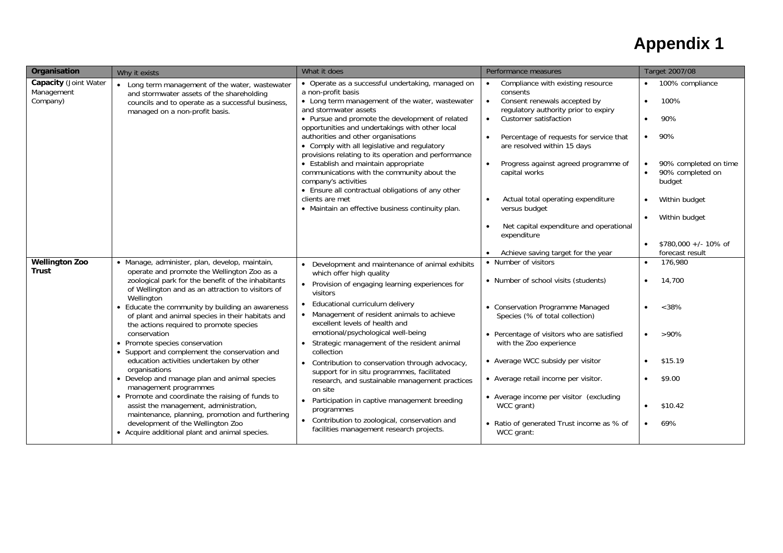| Organisation                                           | Why it exists                                                                                                                                                                                                                                                                                                                                                                                                                                                                                                                                                                                                                                                                                                                                                                                                                                               | What it does                                                                                                                                                                                                                                                                                                                                                                                                                                                                                                                                                                                                                                                                                                 | Performance measures                                                                                                                                                                                                                                                                                                                                                                                                                                  | Target 2007/08                                                                                                                                                                                                                                                           |
|--------------------------------------------------------|-------------------------------------------------------------------------------------------------------------------------------------------------------------------------------------------------------------------------------------------------------------------------------------------------------------------------------------------------------------------------------------------------------------------------------------------------------------------------------------------------------------------------------------------------------------------------------------------------------------------------------------------------------------------------------------------------------------------------------------------------------------------------------------------------------------------------------------------------------------|--------------------------------------------------------------------------------------------------------------------------------------------------------------------------------------------------------------------------------------------------------------------------------------------------------------------------------------------------------------------------------------------------------------------------------------------------------------------------------------------------------------------------------------------------------------------------------------------------------------------------------------------------------------------------------------------------------------|-------------------------------------------------------------------------------------------------------------------------------------------------------------------------------------------------------------------------------------------------------------------------------------------------------------------------------------------------------------------------------------------------------------------------------------------------------|--------------------------------------------------------------------------------------------------------------------------------------------------------------------------------------------------------------------------------------------------------------------------|
| <b>Capacity (Joint Water</b><br>Management<br>Company) | • Long term management of the water, wastewater<br>and stormwater assets of the shareholding<br>councils and to operate as a successful business<br>managed on a non-profit basis.                                                                                                                                                                                                                                                                                                                                                                                                                                                                                                                                                                                                                                                                          | • Operate as a successful undertaking, managed on<br>a non-profit basis<br>• Long term management of the water, wastewater<br>and stormwater assets<br>• Pursue and promote the development of related<br>opportunities and undertakings with other local<br>authorities and other organisations<br>• Comply with all legislative and regulatory<br>provisions relating to its operation and performance<br>• Establish and maintain appropriate<br>communications with the community about the<br>company's activities<br>• Ensure all contractual obligations of any other<br>clients are met<br>• Maintain an effective business continuity plan.                                                         | Compliance with existing resource<br>consents<br>Consent renewals accepted by<br>$\bullet$<br>regulatory authority prior to expiry<br>Customer satisfaction<br>Percentage of requests for service that<br>are resolved within 15 days<br>Progress against agreed programme of<br>capital works<br>Actual total operating expenditure<br>versus budget<br>Net capital expenditure and operational<br>expenditure<br>Achieve saving target for the year | • 100% compliance<br>100%<br>$\bullet$<br>90%<br>$\bullet$<br>90%<br>$\bullet$<br>90% completed on time<br>$\bullet$<br>90% completed on<br>$\bullet$<br>budget<br>Within budget<br>Within budget<br>$\bullet$<br>$$780.000 +/- 10\%$ of<br>$\bullet$<br>forecast result |
| <b>Wellington Zoo</b><br>Trust                         | · Manage, administer, plan, develop, maintain,<br>operate and promote the Wellington Zoo as a<br>zoological park for the benefit of the inhabitants<br>of Wellington and as an attraction to visitors of<br>Wellington<br>• Educate the community by building an awareness<br>of plant and animal species in their habitats and<br>the actions required to promote species<br>conservation<br>• Promote species conservation<br>• Support and complement the conservation and<br>education activities undertaken by other<br>organisations<br>• Develop and manage plan and animal species<br>management programmes<br>• Promote and coordinate the raising of funds to<br>assist the management, administration,<br>maintenance, planning, promotion and furthering<br>development of the Wellington Zoo<br>• Acquire additional plant and animal species. | • Development and maintenance of animal exhibits<br>which offer high quality<br>• Provision of engaging learning experiences for<br>visitors<br>• Educational curriculum delivery<br>• Management of resident animals to achieve<br>excellent levels of health and<br>emotional/psychological well-being<br>Strategic management of the resident animal<br>$\bullet$<br>collection<br>Contribution to conservation through advocacy,<br>support for in situ programmes, facilitated<br>research, and sustainable management practices<br>on site<br>Participation in captive management breeding<br>programmes<br>• Contribution to zoological, conservation and<br>facilities management research projects. | • Number of visitors<br>• Number of school visits (students)<br>• Conservation Programme Managed<br>Species (% of total collection)<br>• Percentage of visitors who are satisfied<br>with the Zoo experience<br>• Average WCC subsidy per visitor<br>• Average retail income per visitor.<br>• Average income per visitor (excluding<br>WCC grant)<br>• Ratio of generated Trust income as % of<br>WCC grant:                                         | 176,980<br>14,700<br>$<38\%$<br>$>90\%$<br>$\bullet$<br>\$15.19<br>\$9.00<br>\$10.42<br>$\bullet$<br>69%<br>$\bullet$                                                                                                                                                    |